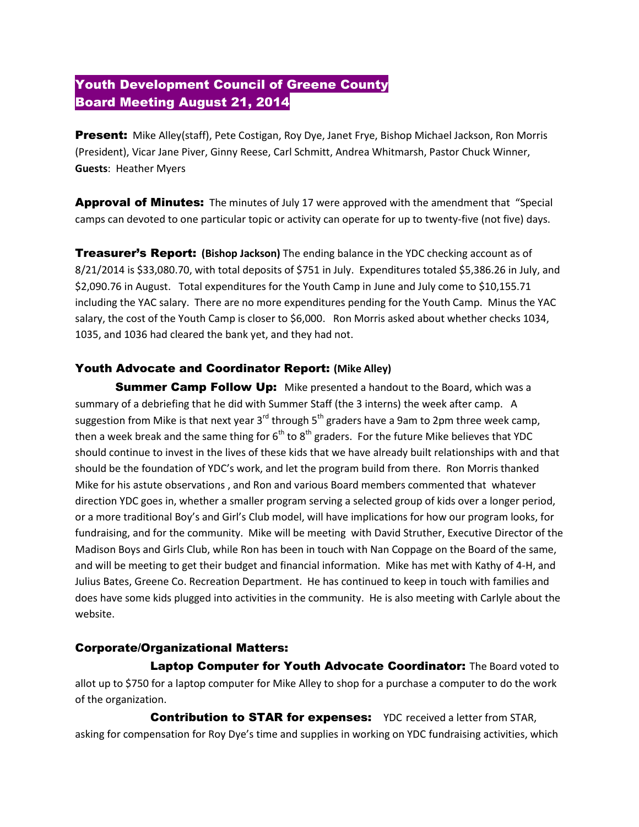# Youth Development Council of Greene County Board Meeting August 21, 2014

**Present:** Mike Alley(staff), Pete Costigan, Roy Dye, Janet Frye, Bishop Michael Jackson, Ron Morris (President), Vicar Jane Piver, Ginny Reese, Carl Schmitt, Andrea Whitmarsh, Pastor Chuck Winner, **Guests**: Heather Myers

Approval of Minutes: The minutes of July 17 were approved with the amendment that "Special camps can devoted to one particular topic or activity can operate for up to twenty-five (not five) days.

Treasurer's Report: **(Bishop Jackson)** The ending balance in the YDC checking account as of 8/21/2014 is \$33,080.70, with total deposits of \$751 in July. Expenditures totaled \$5,386.26 in July, and \$2,090.76 in August. Total expenditures for the Youth Camp in June and July come to \$10,155.71 including the YAC salary. There are no more expenditures pending for the Youth Camp. Minus the YAC salary, the cost of the Youth Camp is closer to \$6,000. Ron Morris asked about whether checks 1034, 1035, and 1036 had cleared the bank yet, and they had not.

## Youth Advocate and Coordinator Report: **(Mike Alley)**

**Summer Camp Follow Up:** Mike presented a handout to the Board, which was a summary of a debriefing that he did with Summer Staff (the 3 interns) the week after camp. A suggestion from Mike is that next year  $3^{rd}$  through  $5^{th}$  graders have a 9am to 2pm three week camp, then a week break and the same thing for  $6<sup>th</sup>$  to  $8<sup>th</sup>$  graders. For the future Mike believes that YDC should continue to invest in the lives of these kids that we have already built relationships with and that should be the foundation of YDC's work, and let the program build from there. Ron Morris thanked Mike for his astute observations , and Ron and various Board members commented that whatever direction YDC goes in, whether a smaller program serving a selected group of kids over a longer period, or a more traditional Boy's and Girl's Club model, will have implications for how our program looks, for fundraising, and for the community. Mike will be meeting with David Struther, Executive Director of the Madison Boys and Girls Club, while Ron has been in touch with Nan Coppage on the Board of the same, and will be meeting to get their budget and financial information. Mike has met with Kathy of 4-H, and Julius Bates, Greene Co. Recreation Department. He has continued to keep in touch with families and does have some kids plugged into activities in the community. He is also meeting with Carlyle about the website.

# Corporate/Organizational Matters:

**Laptop Computer for Youth Advocate Coordinator:** The Board voted to allot up to \$750 for a laptop computer for Mike Alley to shop for a purchase a computer to do the work of the organization.

**Contribution to STAR for expenses:** YDC received a letter from STAR, asking for compensation for Roy Dye's time and supplies in working on YDC fundraising activities, which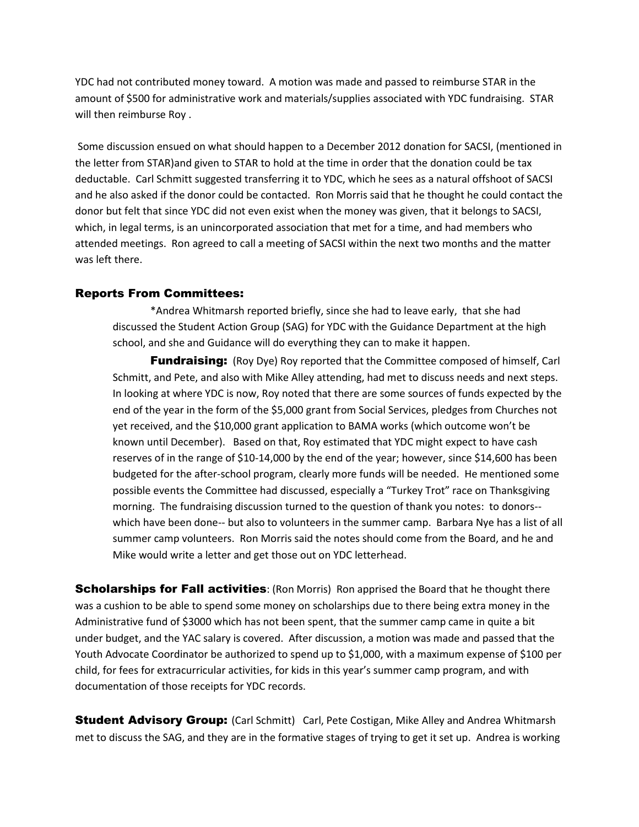YDC had not contributed money toward. A motion was made and passed to reimburse STAR in the amount of \$500 for administrative work and materials/supplies associated with YDC fundraising. STAR will then reimburse Roy .

Some discussion ensued on what should happen to a December 2012 donation for SACSI, (mentioned in the letter from STAR)and given to STAR to hold at the time in order that the donation could be tax deductable. Carl Schmitt suggested transferring it to YDC, which he sees as a natural offshoot of SACSI and he also asked if the donor could be contacted. Ron Morris said that he thought he could contact the donor but felt that since YDC did not even exist when the money was given, that it belongs to SACSI, which, in legal terms, is an unincorporated association that met for a time, and had members who attended meetings. Ron agreed to call a meeting of SACSI within the next two months and the matter was left there.

#### Reports From Committees:

\*Andrea Whitmarsh reported briefly, since she had to leave early, that she had discussed the Student Action Group (SAG) for YDC with the Guidance Department at the high school, and she and Guidance will do everything they can to make it happen.

**Fundraising:** (Roy Dye) Roy reported that the Committee composed of himself, Carl Schmitt, and Pete, and also with Mike Alley attending, had met to discuss needs and next steps. In looking at where YDC is now, Roy noted that there are some sources of funds expected by the end of the year in the form of the \$5,000 grant from Social Services, pledges from Churches not yet received, and the \$10,000 grant application to BAMA works (which outcome won't be known until December). Based on that, Roy estimated that YDC might expect to have cash reserves of in the range of \$10-14,000 by the end of the year; however, since \$14,600 has been budgeted for the after-school program, clearly more funds will be needed. He mentioned some possible events the Committee had discussed, especially a "Turkey Trot" race on Thanksgiving morning. The fundraising discussion turned to the question of thank you notes: to donors- which have been done-- but also to volunteers in the summer camp. Barbara Nye has a list of all summer camp volunteers. Ron Morris said the notes should come from the Board, and he and Mike would write a letter and get those out on YDC letterhead.

**Scholarships for Fall activities**: (Ron Morris) Ron apprised the Board that he thought there was a cushion to be able to spend some money on scholarships due to there being extra money in the Administrative fund of \$3000 which has not been spent, that the summer camp came in quite a bit under budget, and the YAC salary is covered. After discussion, a motion was made and passed that the Youth Advocate Coordinator be authorized to spend up to \$1,000, with a maximum expense of \$100 per child, for fees for extracurricular activities, for kids in this year's summer camp program, and with documentation of those receipts for YDC records.

**Student Advisory Group:** (Carl Schmitt) Carl, Pete Costigan, Mike Alley and Andrea Whitmarsh met to discuss the SAG, and they are in the formative stages of trying to get it set up. Andrea is working